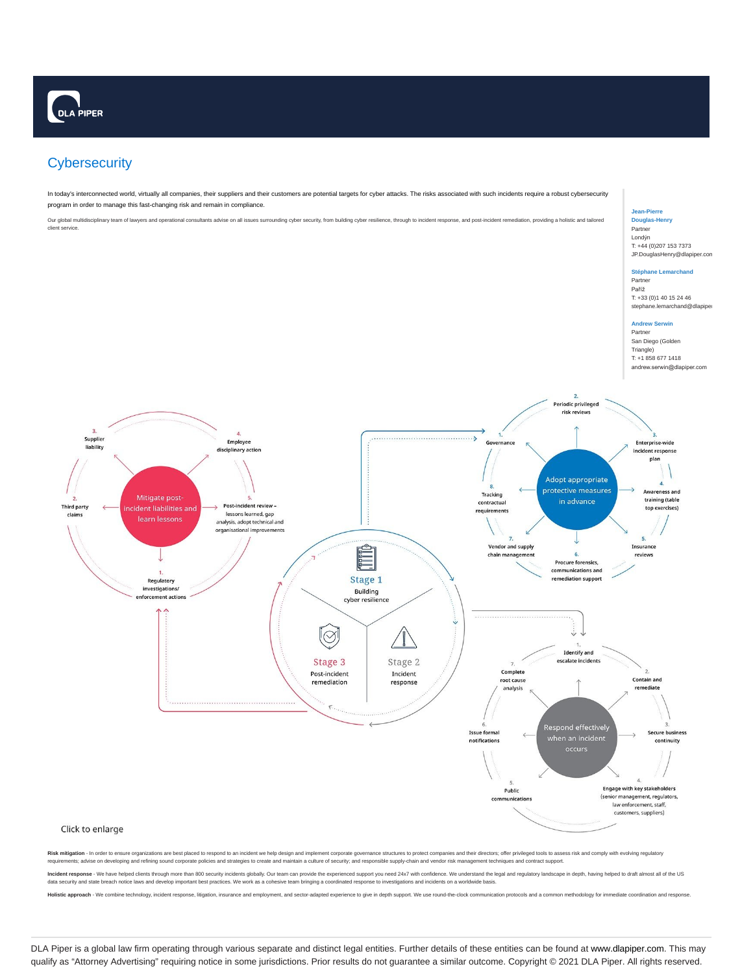# **Cybersecurity**

In today's interconnected world, virtually all companies, their suppliers and their customers are potential targets for cyber attacks. The risks associated with such incidents require a robust cybersecurity program in order to manage this fast-changing risk and remain in compliance.

Our global multidisciplinary team of lawyers and operational consultants advise on all issues surrounding cyber security, from building cyber resilience, through to incident response, and post-incident remediation, providi client service.

# **Jean-Pierre Douglas-Henry**

Partner Londýn T: +44 (0)207 153 7373 JP.DouglasHenry@dlapiper.com

#### **Stéphane Lemarchan** Partner

Paříž T: +33 (0)1 40 15 24 46 stephane.lemarchand@dlapiper

### **Andrew Serwin** Partner

San Diego (Golden Triangle) T: +1 858 677 1418 andrew.serwin@dlapiper.com



Risk mitigation - In order to ensure organizations are best placed to respond to an incident we help design and implement corporate governance structures to protect companies and their directors; offer privileged tools to requirements; advise on developing and refining sound corporate policies and strategies to create and maintain a culture of security; and responsible supply-chain and vendor risk management techniques and contract support.

I<mark>ncident response</mark> - We have helped clients through more than 800 security incidents globally. Our team can provide the experienced support you need 24x7 with confidence. We understand the legal and regulatory landscape i data security and state breach notice laws and develop important best practices.

Holistic approach - We combine technology, incident response, litigation, insurance and employment, and sector-adapted experience to give in depth support. We use ro

DLA Piper is a global law firm operating through various separate and distinct legal entities. Further details of these entities can be found at www.dlapiper.com. This may qualify as "Attorney Advertising" requiring notice in some jurisdictions. Prior results do not guarantee a similar outcome. Copyright © 2021 DLA Piper. All rights reserved.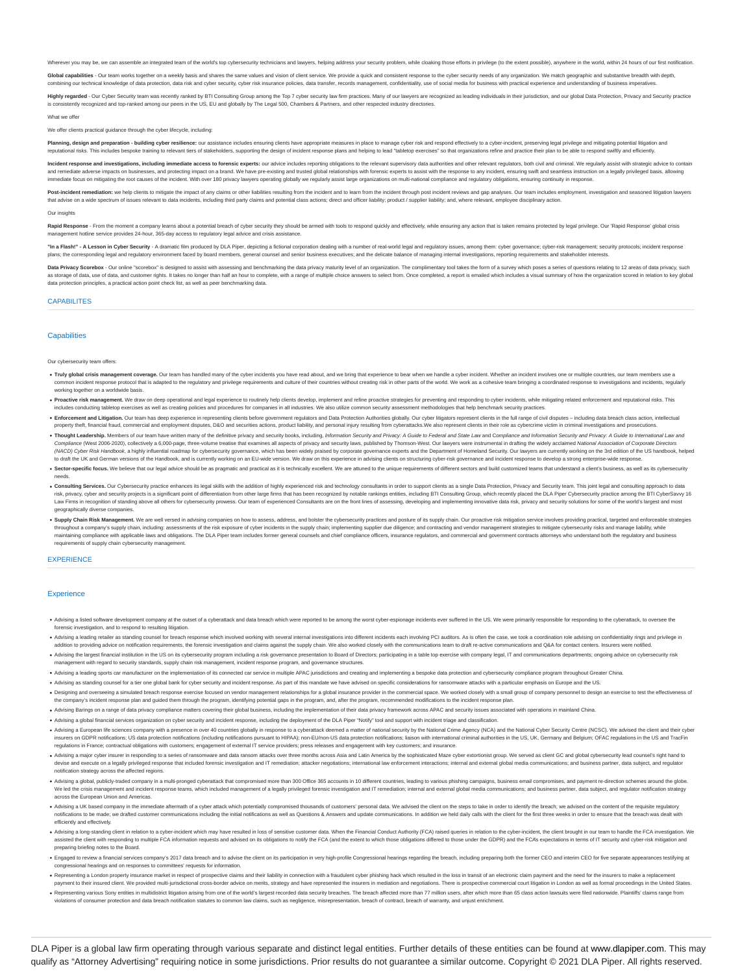Wherever you may be, we can assemble an integrated team of the world's top cybersecurity technicians and lawyers, helping address your security problem, while cloaking those efforts in privilege (to the extent possible), a

Global capabilities - Our team works together on a weekly basis and shares the same values and vision of client service. We provide a quick and consistent response to the cyber security needs of any organization. We match our technical knowledge of data protection, data risk and cyber security, cyber risk insurance policies, data transfer, records management, confidentiality, use of social media for business with practical experience and un

Highly regarded - Our Cyber Security team was recently ranked by BTI Consulting Group among the Top 7 cyber security law firm practices. Many of our lawyers are recognized as leading individuals in their jurisdiction, and is consistently recognized and top-ranked among our peers in the US, EU and globally by The Legal 500, Chambers & Partners, and other respected industry directories.

#### What we offer

#### nts practical guidance through the cyber lifecycle, inclu

ining, design and preparation - building cyber resilience: our assistance includes ensuring clients have appropriate measures in place to manage cyber risk and respond effectively to a cyber-incident, preserving legal priv reputational risks. This includes bespoke training to relevant tiers of stakeholders, supporting the design of incident response plans and helping to lead "tabletop exercises" so that organizations refine and practice thei

Incident response and investigations, including immediate access to forensic experts: our advice includes reporting obligations to the relevant supervisory data authorities and other relevant regulators, both civil and cri ses, and protecting impact on a brand. We have pre-existing and trusted global relationships with forensic experts to assist with the response to any incident, ensuring swift and seamless instru

immediate focus on mitigating the root causes of the incident. With over 180 privacy lawyers operating globally we regularly assist large organizations on multi-national compliance and regulatory obligations, ensuring cont

Post-incident remediation: we help clients to mitigate the impact of any claims or other liabilities resulting from the incident and to learn from the incident through post incident treviews and gap analyses. Our team incl that advise on a wide spectrum of issues relevant to data incidents, including third party claims and potential class actions; direct and officer liability; product / supplier liability; and, where relevant, employee disci

### Our insights

Rapid Response - From the moment a company learns about a potential breach of cyber security they should be armed with tools to respond quickly and effectively, while ensuring any action that is taken remains protected by agement hotline service provides 24-hour, 365-day access to regulatory legal advice and crisis assistance.

"In a Flash!" - A Lesson in Cyber Security - A dramatic film produced by DLA Piper, depicting a fictional corporation dealing with a number of real-world legal and regulatory issues, among them: cyber governance; cyber-ris plans: the corresponding legal and regulatory environment faced by board members, general counsel and senior business executives; and the delicate balance of managing internal investigations, reporting requirements and sta

Data Privacy Scorebox - Our online "scorebox" is designed to assist with assessing and benchmarking the data privacy maturity level of an organization. The complimentary tool takes the form of a survey which poses a series as storage of data, use of data, and customer rights. It takes no longer than half an hour to complete, with a range of multiple choice answers to select from. Once completed, a report is emailed which includes a visual su data protection principles, a practical action point check list, as well as peer benchmarking data.

# **CAPABILITES**

#### **Canabilities**

#### Our cybersecurity team offers:

- . Truly global crisis management coverage. Our team has handled many of the cyber incidents you have read about, and we bring that experience to bear when we handle a cyber incident. Whether an incident involves one or mul incident response protocol that is adapted to the regulatory and privilege requirements and culture of their countries without creating risk in other parts of the world. We work as a cohesive team bringing a coordinated re working together on a worldwide basis.
- . Proactive risk management. We draw on deep operational and legal experience to routinely help clients develop, implement and refine proactive strategies for preventing and responding to cyber incidents, while mitigating includes conducting tabletop exercises as well as creating policies and procedures for companies in all industries. We also utilize common security assessment methodologies that help benchmark security practices.
- . Enforcement and Litigation. Our team has deep experience in representing clients before government regulators and Data Protection Authorities globally. Our cyber litigators represent clients in the full range of civil di property theft, financial fraud, commercial and employment disputes, D&O and securities actions, product liability, and personal injury resulting from cyberattacks. We also represent clients in their role as cybercrime vic
- . Thought Leadership. Members of our team have written many of the definitive privacy and security books, including, Information Security and Privacy: A Guide to Federal and State Law and Compliance and Information Securit Compliance (West 2005-2020), collectively a 6,000-page, three-volume treatise that examines all aspects of privacy and security laws, published by Thormson-West. Our lawyers were instrumental in dratting the widely applian to draft the UK and German versions of the Handbook, and is currently working on an EU-wide version. We draw on this experience in advising clients on structuring cyber-risk governance and incident response to develop a st
- . Sector-specific focus. We believe that our legal advice should be as pragmatic and practical as it is technically excellent. We are attuned to the unique requirements of different sectors and build customized teams that needs.
- . Consulting Services. Our Cybersecurity practice enhances its legal skills with the addition of highly experienced risk and technology consultants in order to support clients as a single Data Protection, Privacy and Secur risk, privacy, cyber and security projects is a significant point of differentiation from other large firms that has been recognized by notable rankings entities, including BTI Consulting Group, which recently placed the D Law Firms in recognition of standing above all others for cybersecurity prowess. Our team of experienced Consultants are on the front lines of assessing, developing and implementing innovative data risk, privacy and securi geographically diverse companies.
- . Supply Chain Risk Management. We are well versed in advising companies on how to assess, address, and bolster the cybersecurity practices and posture of its supply chain. Our proactive risk mitigation service involves pr throughout a company's supply chain, including assessments of the risk exposure of cyber incidents in the supply chain; implementing supplier due diligence; and contracting and vendors and company enducts and company subse requirements of supply chain cybersecurity management.

#### **EXPERIENCE**

## **Experience**

- . Advising a listed software development company at the outset of a cyberattack and data breach which were reported to be among the worst cyber-espionage incidents ever suffered in the US. We were primarily responsible for forensic investigation, and to respond to resulting litigation.
- . Advising a leading retailer as standing counsel for breach response which involved working with several internal investigations into different incidents each involving PCI auditors. As is often the case, we took a coordi nto providing advice on notification requirements, the forensic investigation and claims against the supply chain. We also worked closely with the communications team to draft re-active communications and Q&A for contact c
- . Advising the largest financial institution in the US on its cybersecurity program including a risk governance presentation to Board of Directors; participating in a table top exercise with company legal, IT and communic: ent with regard to security standards, supply chain risk management, incident response program, and governance structures.
- . Advising a leading sports car manufacturer on the implementation of its connected car service in multiple APAC jurisdictions and creating and implementing a bespoke data protection and cybersecurity compliance program th
- . Advising as standing counsel for a tier one global bank for cyber security and incident response. As part of this mandate we have advised on specific considerations for ransomware attacks with a particular emphasis on Eu
- Designing and overseeing a simulated breach response exercise focused on vendor management relationships for a global insurance provider in the commercial space. We worked doesly with a small group of company personnel to
- . Advising Barings on a range of data privacy compliance matters covering their global business, including the implementation of their data privacy framework across APAC and security issues associated with opera Advising a global financial services organization on cyber security and incident response, including the deployment of the DLA Piper "Notify" tool and support with incident triage and classification.
- . Advising a European life sciences company with a presence in over 40 countries globally in response to a cyberattack deemed a matter of national security by the National Crime Agency (NCA) and the National Cyber Security insurers on GDPR notifications; US data protection notifications (including notifications pursuant to HIPAA); non-EU/non-US data protection notifications; liaison with international criminal authorities in the US, UK, Germ external obligations in France.<br>In France external insurance providers; press releases and engagement with key customers; and insurance.
- . Advising a major cyber insurer in responding to a series of ransomware and data ransom attacks over three months across Asia and Latin America by the sophisticated Maze cyber extortionist group. We served as client GC an devise and execute on a legally privileged response that included forensic investigation and IT remediation; attacker negotiations; international law enforcement interactions; internal and external global media communicati notification strategy across the affected regions.
- . Advising a global, publicly-traded company in a multi-pronged cyberattack that compromised more than 300 Office 365 accounts in 10 different countries, leading to various phishing campaigns, business email compromises, a We led the crisis management and incident response teams, which included management of a legally privileged forensic investigation and IT remediation; internal and external global media communications; and business partner across the European Union and Americas.
- Advising a UK based company in the immediate aftermath of a cyber attack which potentially compromised thousands of customers' personal data. We advised the dient on the steps to take in order to identify the breach; we ad efficiently and effectively.
- . Advising a long-standing client in relation to a cyber-incident which may have resulted in loss of sensitive customer data. When the Financial Conduct Authority (FCA) raised queries in relation to the cyber-incident, the ted the client with responding to multiple FCA information requests and advised on its obligations to notify the FCA (and the extent to which those obligations differed to those under the GDPR) and the FCA's expectations i preparing briefing notes to the Board.
- . Engaged to review a financial services company's 2017 data breach and to advise the client on its participation in very high-profile Congressional hearings regarding the breach, including preparing both the former CEO an ssional hearings and on responses to committees' requests for infor
- . Representing a London property insurance market in respect of prospective claims and their liability in connection with a fraudulent cyber phishing hack which resulted in the loss in transit of an electronic claim paymen payment to their insured client. We provided multi-jurisdictional cross-border advice on merits, strategy and have represented the insurers in mediation and negotiations. There is prospective commercial court litigation in
- . Representing various Sony entities in multidistrict litigation arising from one of the world's largest recorded data security breaches. The breach affected more than 77 million users, after which more than 65 class actio violations of consumer protection and data breach notification statutes to common law claims, such as negligence, misrep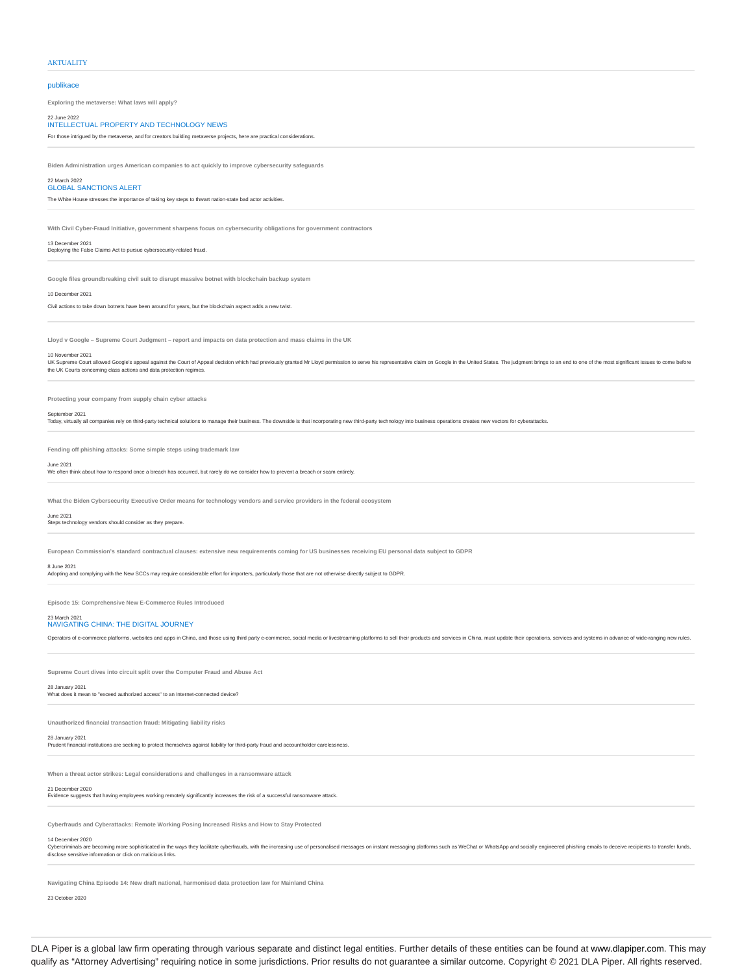## **AKTUALITY**

# publikace

**Exploring the metaverse: What laws will apply?**

# 22 June 2022 INTELLECTUAL PROPERTY AND TECHNOLOGY NEWS

For those intrigued by the metaverse, and for creators building metaverse projects, here are practical considerations.

**Biden Administration urges American companies to act quickly to improve cybersecurity safeguards**

#### 22 March 2022 GLOBAL SANCTIONS ALERT

The White House stresses the importance of taking key steps to thwart nation-state bad actor activities.

**With Civil Cyber-Fraud Initiative, government sharpens focus on cybersecurity obligations for government contractors**

#### 13 December 2021 Deploying the False Claims Act to pursue cybersecurity-related fraud.

**Google files groundbreaking civil suit to disrupt massive botnet with blockchain backup system**

10 December 2021

Civil actions to take down botnets have been around for years, but the blockchain aspect adds a new twist.

# **Lloyd v Google – Supreme Court Judgment – report and impacts on data protection and mass claims in the UK**

#### 10 November 2021

vor Commercial Secure allowed Google's appeal against the Court of Appeal decision which had previously granted Mr Lloyd permission to serve his representative claim on Google in the United States. The judgment brings to a the UK Courts concerning class actions and data protection regimes.

**Protecting your company from supply chain cyber attacks**

## September 2021

Today, virtually all companies rely on third-party technical solutions to manage their business. The downside is that incorporating new third-party technology into business operations creates new vectors for cyber

**Fending off phishing attacks: Some simple steps using trademark law**

#### June 2021

We often think about how to respond once a breach has occurred, but rarely do we consider how to prevent a breach or scam entirely.

**What the Biden Cybersecurity Executive Order means for technology vendors and service providers in the federal ecosystem**

## June 2021

Steps technology vendors should consider as they prepare.

**European Commission's standard contractual clauses: extensive new requirements coming for US businesses receiving EU personal data subject to GDPR**

## 8 June 2021

Adopting and complying with the New SCCs may require considerable effort for importers, particularly those that are not otherwise directly subject to GDPR.

**Episode 15: Comprehensive New E-Commerce Rules Introduced**

#### 23 March 2021 NAVIGATING CHINA: THE DIGITAL JOURNEY

Operators of e-commerce platforms, websites and apps in China, and those using third party e-commerce, social media or livestreaming platforms to sell their products and services in China, must update their operations, ser

**Supreme Court dives into circuit split over the Computer Fraud and Abuse Act**

# 28 January 2021<br>What does it mean to "exceed authorized access" to an Internet-connected device?

# **Unauthorized financial transaction fraud: Mitigating liability risks**

28 January 2021

ancial institutions are seeking to protect themselves against liability for third-party fraud and accountholder carelessne

**When a threat actor strikes: Legal considerations and challenges in a ransomware attack**

# 21 December 2020

Evidence suggests that having employees working remotely significantly increases the risk of a successful ransomware attack.

**Cyberfrauds and Cyberattacks: Remote Working Posing Increased Risks and How to Stay Protected**

# 14 December 2020

Cybercriminals are becoming more sophisticated in the ways they facilitate cyberfrauds, with the increasing use of personalised messages on instant messaging platforms such as WeChat or WhatsApp and socially engineered phi

**Navigating China Episode 14: New draft national, harmonised data protection law for Mainland China**

23 October 2020

DLA Piper is a global law firm operating through various separate and distinct legal entities. Further details of these entities can be found at www.dlapiper.com. This may qualify as "Attorney Advertising" requiring notice in some jurisdictions. Prior results do not guarantee a similar outcome. Copyright © 2021 DLA Piper. All rights reserved.